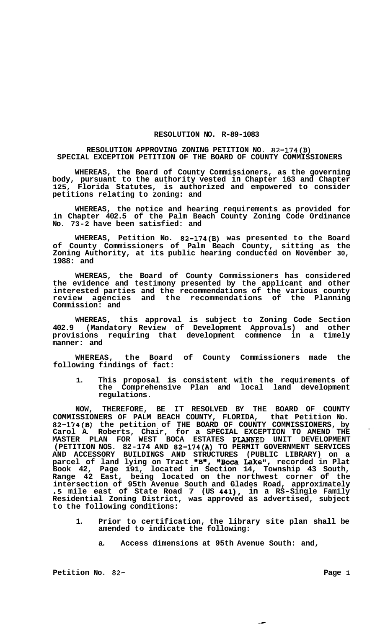## **RESOLUTION NO. R-89-1083**

## **RESOLUTION APPROVING ZONING PETITION NO. 82-174(B) SPECIAL EXCEPTION PETITION OF THE BOARD OF COUNTY COMMISSIONERS**

**WHEREAS, the Board of County Commissioners, as the governing body, pursuant to the authority vested in Chapter 163 and Chapter 125, Florida Statutes, is authorized and empowered to consider petitions relating to zoning: and** 

**WHEREAS, the notice and hearing requirements as provided for in Chapter 402.5 of the Palm Beach County Zoning Code Ordinance No. 73-2 have been satisfied: and** 

**WHEREAS, Petition No. 82-174(B) was presented to the Board of County Commissioners of Palm Beach County, sitting as the Zoning Authority, at its public hearing conducted on November 30, 1988: and** 

**WHEREAS, the Board of County Commissioners has considered the evidence and testimony presented by the applicant and other interested parties and the recommendations of the various county review agencies and the recommendations of the Planning Commission: and** 

**WHEREAS, this approval is subject to Zoning Code Section 402.9 (Mandatory Review of Development Approvals) and other provisions requiring that development commence in a timely manner: and** 

**WHEREAS, the Board of County Commissioners made the following findings of fact:** 

**1. This proposal is consistent with the requirements of the Comprehensive Plan and local land development regulations.** 

**NOW, THEREFORE, BE IT RESOLVED BY THE BOARD OF COUNTY COMMISSIONERS OF PALM BEACH COUNTY, FLORIDA, that Petition No. 82-174(B) the petition of THE BOARD OF COUNTY COMMISSIONERS, by Carol A. Roberts, Chair, for a SPECIAL EXCEPTION TO AMEND THE MASTER PLAN FOR WEST BOCA ESTATES PLANWED UNIT DEVELOPMENT (PETITION NOS. 82-174 AND 82-174(A) TO PERMIT GOVERNMENT SERVICES AND ACCESSORY BUILDINGS AND STRUCTURES (PUBLIC LIBRARY) on a parcel of land lying on Tract llBr, %oca Lake", recorded in Plat Book 42, Page 191, located in Section 14, Township 43 South, Range 42 East, being located on the northwest corner of the intersection of 95th Avenue South and Glades Road, approximately**  *.5* **mile east of State Road 7 (US 441), in a RS-Single Family Residential Zoning District, was approved as advertised, subject to the following conditions:** 

- **1. Prior to certification, the library site plan shall be amended to indicate the following:** 
	- **a. Access dimensions at 95th Avenue South: and,**

Petition No. 82- **Page 1**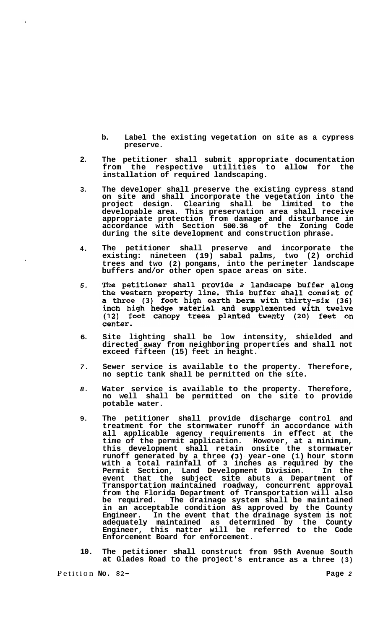- **b. Label the existing vegetation on site as a cypress preserve.**
- **2. The petitioner shall submit appropriate documentation from the respective utilities to allow for the installation of required landscaping.**
- **3. The developer shall preserve the existing cypress stand on site and shall incorporate the vegetation into the project design. Clearing shall be limited to the developable area. This preservation area shall receive appropriate protection from damage and disturbance in accordance with Section 500.36 of the Zoning Code during the site development and construction phrase.**
- **4. The petitioner shall preserve and incorporate the existing: nineteen (19) sabal palms, two (2) orchid trees and two (2) pongams, into the perimeter landscape buffers and/or other open space areas on site.**
- The petitioner shall provide a landscape buffer along *5.*  the western property line. This buffer shall consist of a three (3) foot high earth berm with thirty-six (36) inch high hedge material and supplemented with twelve (12) foot canopy trees planted twenty (20) feet on center.
- **6. Site lighting shall be low intensity, shielded and directed away from neighboring properties and shall not exceed fifteen (15) feet in height.**
- *7.*  **Sewer service is available to the property. Therefore, no septic tank shall be permitted on the site.**
- *8.*  **Water service is available to the property. Therefore, no well shall be permitted on the site to provide potable water.**
- **9. The petitioner shall provide discharge control and treatment for the stormwater runoff in accordance with all applicable agency requirements in effect at the time of the permit application. However, at a minimum, this development shall retain onsite the stormwater runoff generated by a three (3). year-one (1) hour storm with a total rainfall of 3 inches as required by the Permit Section, Land Development Division. In the event that the subject site abuts a Department of Transportation maintained roadway, concurrent approval from the Florida Department of Transportation will also be required. The drainage system shall be maintained in an acceptable condition as approved by the County Engineer. In the event that the drainage system is not adequately maintained as determined by the County Engineer, this matter will be referred to the Code Enforcement Board for enforcement.**
- **10. The petitioner shall construct from 95th Avenue South at Glades Road to the project's entrance as a three (3)**